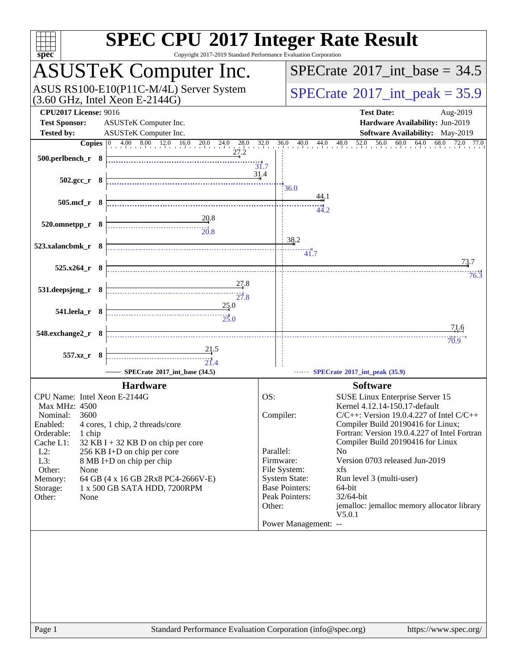| spec <sup>®</sup>                                                                                                                                                               | <b>SPEC CPU®2017 Integer Rate Result</b><br>Copyright 2017-2019 Standard Performance Evaluation Corporation |
|---------------------------------------------------------------------------------------------------------------------------------------------------------------------------------|-------------------------------------------------------------------------------------------------------------|
| <b>ASUSTeK Computer Inc.</b>                                                                                                                                                    | $SPECTate$ <sup>®</sup> 2017_int_base = 34.5                                                                |
| ASUS RS100-E10(P11C-M/4L) Server System<br>$(3.60 \text{ GHz}, \text{Intel Xeon E-2144G})$                                                                                      | $SPECTate@2017_int\_peak = 35.9$                                                                            |
| <b>CPU2017 License: 9016</b><br>ASUSTeK Computer Inc.<br><b>Test Sponsor:</b><br><b>Tested by:</b><br>ASUSTeK Computer Inc.                                                     | <b>Test Date:</b><br>Aug-2019<br>Hardware Availability: Jun-2019<br>Software Availability: May-2019         |
|                                                                                                                                                                                 | 36.0 40.0 44.0 48.0 52.0 56.0 60.0 64.0 68.0 72.0 77.0                                                      |
| <b>Copies</b> $\begin{bmatrix} 0 & 4.00 & 8.00 & 12.0 & 16.0 & 20.0 & 24.0 & 28.0 & 32.0 \\ 0 & 0 & 0 & 12.0 & 16.0 & 20.0 & 24.0 & 27.2 \end{bmatrix}$<br>$500.$ perlbench_r 8 | 31.7                                                                                                        |
| $502.\text{sec}_r$ 8                                                                                                                                                            | 31.4<br>36.0                                                                                                |
| $505.\text{mcf}_r$ 8                                                                                                                                                            | <u>44</u> .1<br>44.2                                                                                        |
| $\begin{array}{c c}\n 20.8 \\  \hline\n 20.8\n \end{array}$<br>520.omnetpp_r 8                                                                                                  |                                                                                                             |
| 523.xalancbmk r 8                                                                                                                                                               | 38.2<br>41.7                                                                                                |
| $525.x264$ r 8                                                                                                                                                                  | 73.7<br>76.3                                                                                                |
| 27.8<br>531.deepsjeng_r 8                                                                                                                                                       |                                                                                                             |
| 25.0<br>541.leela_r 8<br>$\overbrace{25.0}$                                                                                                                                     |                                                                                                             |
| 548.exchange2_r 8                                                                                                                                                               | 71.6<br>70.9                                                                                                |
| 21.5<br>557.xz_r 8                                                                                                                                                              |                                                                                                             |
| SPECrate®2017_int_base (34.5)                                                                                                                                                   | SPECrate®2017_int_peak (35.9)                                                                               |
| <b>Hardware</b>                                                                                                                                                                 | <b>Software</b>                                                                                             |
| CPU Name: Intel Xeon E-2144G<br>Max MHz: 4500                                                                                                                                   | OS:<br>SUSE Linux Enterprise Server 15<br>Kernel 4.12.14-150.17-default                                     |
| 3600<br>Nominal:                                                                                                                                                                | Compiler:<br>$C/C++$ : Version 19.0.4.227 of Intel $C/C++$<br>Compiler Build 20190416 for Linux;            |
| Enabled:<br>4 cores, 1 chip, 2 threads/core<br>Orderable:<br>1 chip                                                                                                             | Fortran: Version 19.0.4.227 of Intel Fortran                                                                |
| Cache L1:<br>$32$ KB I + 32 KB D on chip per core<br>$L2$ :<br>256 KB I+D on chip per core                                                                                      | Compiler Build 20190416 for Linux<br>Parallel:<br>No                                                        |
| L3:<br>8 MB I+D on chip per chip                                                                                                                                                | Version 0703 released Jun-2019<br>Firmware:                                                                 |
| Other:<br>None<br>64 GB (4 x 16 GB 2Rx8 PC4-2666V-E)<br>Memory:                                                                                                                 | File System:<br>xfs<br><b>System State:</b><br>Run level 3 (multi-user)                                     |
| 1 x 500 GB SATA HDD, 7200RPM<br>Storage:                                                                                                                                        | <b>Base Pointers:</b><br>64-bit                                                                             |
| Other:<br>None                                                                                                                                                                  | Peak Pointers:<br>32/64-bit<br>jemalloc: jemalloc memory allocator library<br>Other:                        |
|                                                                                                                                                                                 | V5.0.1<br>Power Management: --                                                                              |
|                                                                                                                                                                                 |                                                                                                             |
|                                                                                                                                                                                 |                                                                                                             |
|                                                                                                                                                                                 |                                                                                                             |
|                                                                                                                                                                                 |                                                                                                             |
| Page 1                                                                                                                                                                          | Standard Performance Evaluation Corporation (info@spec.org)<br>https://www.spec.org/                        |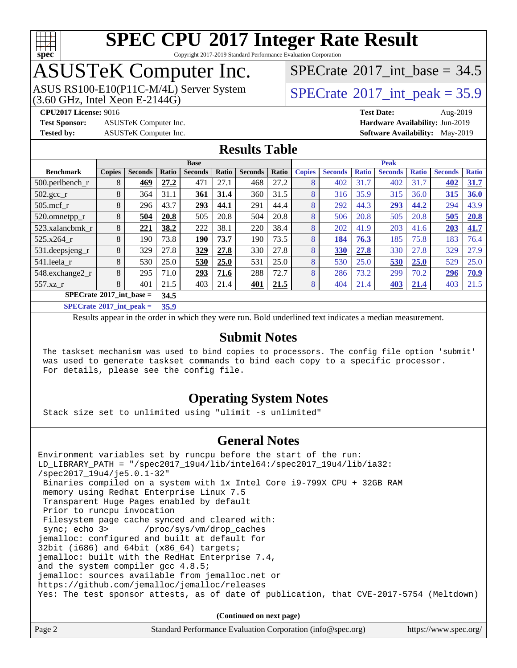

Copyright 2017-2019 Standard Performance Evaluation Corporation

## ASUSTeK Computer Inc.

 $(3.60$  GHz, Intel Xeon E-2144G) ASUS RS100-E10(P11C-M/4L) Server System [SPECrate](http://www.spec.org/auto/cpu2017/Docs/result-fields.html#SPECrate2017intpeak)®2017 int\_peak = 35.9

[SPECrate](http://www.spec.org/auto/cpu2017/Docs/result-fields.html#SPECrate2017intbase)®2017 int\_base =  $34.5$ 

**[Test Sponsor:](http://www.spec.org/auto/cpu2017/Docs/result-fields.html#TestSponsor)** ASUSTeK Computer Inc. **[Hardware Availability:](http://www.spec.org/auto/cpu2017/Docs/result-fields.html#HardwareAvailability)** Jun-2019

**[CPU2017 License:](http://www.spec.org/auto/cpu2017/Docs/result-fields.html#CPU2017License)** 9016 **[Test Date:](http://www.spec.org/auto/cpu2017/Docs/result-fields.html#TestDate)** Aug-2019 **[Tested by:](http://www.spec.org/auto/cpu2017/Docs/result-fields.html#Testedby)** ASUSTeK Computer Inc. **[Software Availability:](http://www.spec.org/auto/cpu2017/Docs/result-fields.html#SoftwareAvailability)** May-2019

### **[Results Table](http://www.spec.org/auto/cpu2017/Docs/result-fields.html#ResultsTable)**

| <b>Base</b>                                                                                         |               |                |       |                | <b>Peak</b> |                |       |               |                |              |                |              |                |              |
|-----------------------------------------------------------------------------------------------------|---------------|----------------|-------|----------------|-------------|----------------|-------|---------------|----------------|--------------|----------------|--------------|----------------|--------------|
| <b>Benchmark</b>                                                                                    | <b>Copies</b> | <b>Seconds</b> | Ratio | <b>Seconds</b> | Ratio       | <b>Seconds</b> | Ratio | <b>Copies</b> | <b>Seconds</b> | <b>Ratio</b> | <b>Seconds</b> | <b>Ratio</b> | <b>Seconds</b> | <b>Ratio</b> |
| 500.perlbench_r                                                                                     | 8             | 469            | 27.2  | 471            | 27.1        | 468            | 27.2  | 8             | 402            | 31.7         | 402            | 31.7         | 402            | 31.7         |
| $502.\text{gcc}$                                                                                    | 8             | 364            | 31.1  | 361            | 31.4        | 360            | 31.5  | 8             | 316            | 35.9         | 315            | 36.0         | 315            | 36.0         |
| $505$ .mcf r                                                                                        | 8             | 296            | 43.7  | 293            | 44.1        | 291            | 44.4  | 8             | 292            | 44.3         | 293            | 44.2         | 294            | 43.9         |
| 520.omnetpp_r                                                                                       | 8             | 504            | 20.8  | 505            | 20.8        | 504            | 20.8  | 8             | 506            | 20.8         | 505            | 20.8         | 505            | 20.8         |
| 523.xalancbmk r                                                                                     | 8             | 221            | 38.2  | 222            | 38.1        | 220            | 38.4  | 8             | 202            | 41.9         | 203            | 41.6         | 203            | 41.7         |
| 525.x264 r                                                                                          | 8             | 190            | 73.8  | 190            | 73.7        | 190            | 73.5  | 8             | 184            | 76.3         | 185            | 75.8         | 183            | 76.4         |
| $531.$ deepsjeng $_r$                                                                               | 8             | 329            | 27.8  | 329            | 27.8        | 330            | 27.8  | 8             | 330            | 27.8         | 330            | 27.8         | 329            | 27.9         |
| 541.leela_r                                                                                         | 8             | 530            | 25.0  | 530            | 25.0        | 531            | 25.0  | 8             | 530            | 25.0         | 530            | 25.0         | 529            | 25.0         |
| 548.exchange2_r                                                                                     | 8             | 295            | 71.0  | 293            | 71.6        | 288            | 72.7  | 8             | 286            | 73.2         | 299            | 70.2         | 296            | 70.9         |
| 557.xz                                                                                              | 8             | 401            | 21.5  | 403            | 21.4        | 401            | 21.5  | 8             | 404            | 21.4         | 403            | 21.4         | 403            | 21.5         |
| $SPECrate^{\circ}2017$ int base =                                                                   |               |                | 34.5  |                |             |                |       |               |                |              |                |              |                |              |
| $C1$ $A0$ $A0$ $A1$ $A2$ $A3$ $A4$ $A5$ $A6$ $A7$ $A8$ $A9$ $A1$ $A1$ $A2$ $A3$ $A1$ $A2$ $A3$ $A1$ | $- - -$       |                |       |                |             |                |       |               |                |              |                |              |                |              |

**[SPECrate](http://www.spec.org/auto/cpu2017/Docs/result-fields.html#SPECrate2017intpeak)[2017\\_int\\_peak =](http://www.spec.org/auto/cpu2017/Docs/result-fields.html#SPECrate2017intpeak) 35.9**

Results appear in the [order in which they were run](http://www.spec.org/auto/cpu2017/Docs/result-fields.html#RunOrder). Bold underlined text [indicates a median measurement](http://www.spec.org/auto/cpu2017/Docs/result-fields.html#Median).

#### **[Submit Notes](http://www.spec.org/auto/cpu2017/Docs/result-fields.html#SubmitNotes)**

 The taskset mechanism was used to bind copies to processors. The config file option 'submit' was used to generate taskset commands to bind each copy to a specific processor. For details, please see the config file.

### **[Operating System Notes](http://www.spec.org/auto/cpu2017/Docs/result-fields.html#OperatingSystemNotes)**

Stack size set to unlimited using "ulimit -s unlimited"

#### **[General Notes](http://www.spec.org/auto/cpu2017/Docs/result-fields.html#GeneralNotes)**

Environment variables set by runcpu before the start of the run: LD\_LIBRARY\_PATH = "/spec2017\_19u4/lib/intel64:/spec2017\_19u4/lib/ia32: /spec2017\_19u4/je5.0.1-32" Binaries compiled on a system with 1x Intel Core i9-799X CPU + 32GB RAM memory using Redhat Enterprise Linux 7.5 Transparent Huge Pages enabled by default Prior to runcpu invocation Filesystem page cache synced and cleared with: sync; echo 3> /proc/sys/vm/drop\_caches jemalloc: configured and built at default for 32bit (i686) and 64bit (x86\_64) targets; jemalloc: built with the RedHat Enterprise 7.4, and the system compiler gcc 4.8.5; jemalloc: sources available from jemalloc.net or <https://github.com/jemalloc/jemalloc/releases> Yes: The test sponsor attests, as of date of publication, that CVE-2017-5754 (Meltdown)

**(Continued on next page)**

| Page 2 | Standard Performance Evaluation Corporation (info@spec.org) | https://www.spec.org/ |
|--------|-------------------------------------------------------------|-----------------------|
|--------|-------------------------------------------------------------|-----------------------|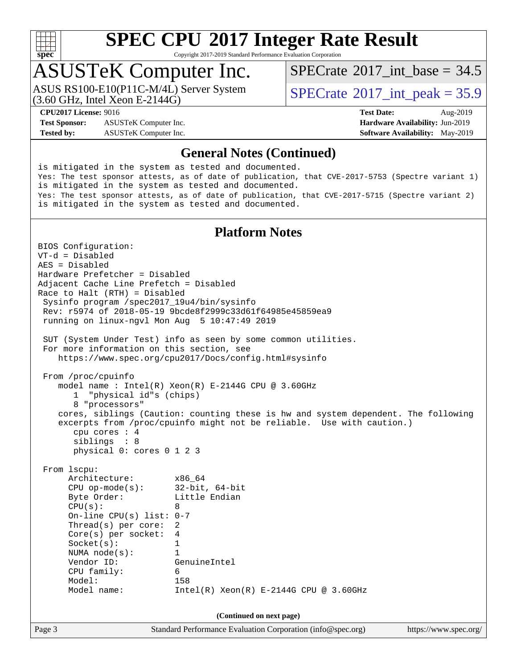

Copyright 2017-2019 Standard Performance Evaluation Corporation

### ASUSTeK Computer Inc.

(3.60 GHz, Intel Xeon E-2144G) ASUS RS100-E10(P11C-M/4L) Server System [SPECrate](http://www.spec.org/auto/cpu2017/Docs/result-fields.html#SPECrate2017intpeak)®2017 int\_peak = 35.9

[SPECrate](http://www.spec.org/auto/cpu2017/Docs/result-fields.html#SPECrate2017intbase)®2017 int\_base =  $34.5$ 

**[Test Sponsor:](http://www.spec.org/auto/cpu2017/Docs/result-fields.html#TestSponsor)** ASUSTeK Computer Inc. **[Hardware Availability:](http://www.spec.org/auto/cpu2017/Docs/result-fields.html#HardwareAvailability)** Jun-2019 **[Tested by:](http://www.spec.org/auto/cpu2017/Docs/result-fields.html#Testedby)** ASUSTeK Computer Inc. **[Software Availability:](http://www.spec.org/auto/cpu2017/Docs/result-fields.html#SoftwareAvailability)** May-2019

**[CPU2017 License:](http://www.spec.org/auto/cpu2017/Docs/result-fields.html#CPU2017License)** 9016 **[Test Date:](http://www.spec.org/auto/cpu2017/Docs/result-fields.html#TestDate)** Aug-2019

#### **[General Notes \(Continued\)](http://www.spec.org/auto/cpu2017/Docs/result-fields.html#GeneralNotes)**

is mitigated in the system as tested and documented. Yes: The test sponsor attests, as of date of publication, that CVE-2017-5753 (Spectre variant 1) is mitigated in the system as tested and documented. Yes: The test sponsor attests, as of date of publication, that CVE-2017-5715 (Spectre variant 2) is mitigated in the system as tested and documented.

### **[Platform Notes](http://www.spec.org/auto/cpu2017/Docs/result-fields.html#PlatformNotes)**

Page 3 Standard Performance Evaluation Corporation [\(info@spec.org\)](mailto:info@spec.org) <https://www.spec.org/> BIOS Configuration: VT-d = Disabled AES = Disabled Hardware Prefetcher = Disabled Adjacent Cache Line Prefetch = Disabled Race to Halt (RTH) = Disabled Sysinfo program /spec2017\_19u4/bin/sysinfo Rev: r5974 of 2018-05-19 9bcde8f2999c33d61f64985e45859ea9 running on linux-ngvl Mon Aug 5 10:47:49 2019 SUT (System Under Test) info as seen by some common utilities. For more information on this section, see <https://www.spec.org/cpu2017/Docs/config.html#sysinfo> From /proc/cpuinfo model name : Intel(R) Xeon(R) E-2144G CPU @ 3.60GHz 1 "physical id"s (chips) 8 "processors" cores, siblings (Caution: counting these is hw and system dependent. The following excerpts from /proc/cpuinfo might not be reliable. Use with caution.) cpu cores : 4 siblings : 8 physical 0: cores 0 1 2 3 From lscpu: Architecture: x86\_64 CPU op-mode(s): 32-bit, 64-bit Byte Order: Little Endian  $CPU(s):$  8 On-line CPU(s) list: 0-7 Thread(s) per core: 2 Core(s) per socket: 4 Socket(s): 1 NUMA node(s): 1 Vendor ID: GenuineIntel CPU family: 6 Model: 158 Model name: Intel(R) Xeon(R) E-2144G CPU @ 3.60GHz **(Continued on next page)**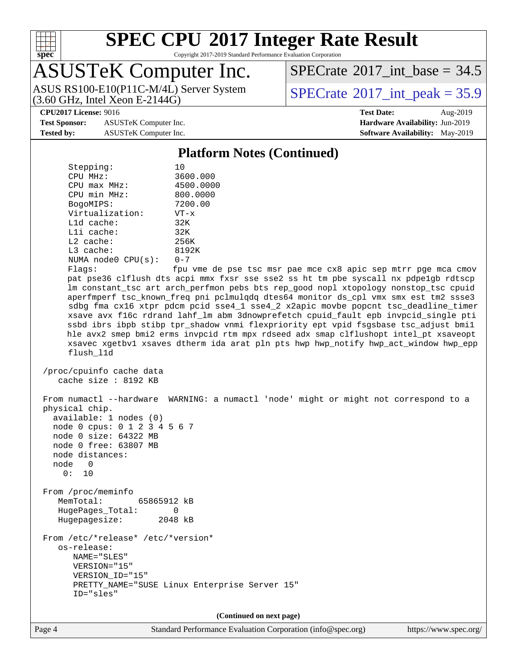

Copyright 2017-2019 Standard Performance Evaluation Corporation

## ASUSTeK Computer Inc.

(3.60 GHz, Intel Xeon E-2144G) ASUS RS100-E10(P11C-M/4L) Server System  $SPECrate^{\circ}2017$  $SPECrate^{\circ}2017$  int peak = 35.9

[SPECrate](http://www.spec.org/auto/cpu2017/Docs/result-fields.html#SPECrate2017intbase)®2017 int\_base =  $34.5$ 

**[Test Sponsor:](http://www.spec.org/auto/cpu2017/Docs/result-fields.html#TestSponsor)** ASUSTeK Computer Inc. **[Hardware Availability:](http://www.spec.org/auto/cpu2017/Docs/result-fields.html#HardwareAvailability)** Jun-2019 **[Tested by:](http://www.spec.org/auto/cpu2017/Docs/result-fields.html#Testedby)** ASUSTeK Computer Inc. **[Software Availability:](http://www.spec.org/auto/cpu2017/Docs/result-fields.html#SoftwareAvailability)** May-2019

**[CPU2017 License:](http://www.spec.org/auto/cpu2017/Docs/result-fields.html#CPU2017License)** 9016 **[Test Date:](http://www.spec.org/auto/cpu2017/Docs/result-fields.html#TestDate)** Aug-2019

#### **[Platform Notes \(Continued\)](http://www.spec.org/auto/cpu2017/Docs/result-fields.html#PlatformNotes)**

Stepping: 10 CPU MHz: 3600.000 CPU max MHz: 4500.0000 CPU min MHz: 800.0000 BogoMIPS: 7200.00 Virtualization: VT-x L1d cache: 32K L1i cache: 32K L2 cache: 256K L3 cache: 8192K NUMA node0 CPU(s): 0-7 Flags: fpu vme de pse tsc msr pae mce cx8 apic sep mtrr pge mca cmov pat pse36 clflush dts acpi mmx fxsr sse sse2 ss ht tm pbe syscall nx pdpe1gb rdtscp lm constant\_tsc art arch\_perfmon pebs bts rep\_good nopl xtopology nonstop\_tsc cpuid aperfmperf tsc\_known\_freq pni pclmulqdq dtes64 monitor ds\_cpl vmx smx est tm2 ssse3 sdbg fma cx16 xtpr pdcm pcid sse4\_1 sse4\_2 x2apic movbe popcnt tsc\_deadline\_timer xsave avx f16c rdrand lahf\_lm abm 3dnowprefetch cpuid\_fault epb invpcid\_single pti ssbd ibrs ibpb stibp tpr\_shadow vnmi flexpriority ept vpid fsgsbase tsc\_adjust bmi1 hle avx2 smep bmi2 erms invpcid rtm mpx rdseed adx smap clflushopt intel\_pt xsaveopt xsavec xgetbv1 xsaves dtherm ida arat pln pts hwp hwp\_notify hwp\_act\_window hwp\_epp flush\_l1d /proc/cpuinfo cache data cache size : 8192 KB From numactl --hardware WARNING: a numactl 'node' might or might not correspond to a physical chip. available: 1 nodes (0) node 0 cpus: 0 1 2 3 4 5 6 7 node 0 size: 64322 MB node 0 free: 63807 MB node distances: node 0 0: 10 From /proc/meminfo MemTotal: 65865912 kB HugePages\_Total: 0 Hugepagesize: 2048 kB From /etc/\*release\* /etc/\*version\* os-release: NAME="SLES" VERSION="15" VERSION\_ID="15" PRETTY\_NAME="SUSE Linux Enterprise Server 15" ID="sles" **(Continued on next page)**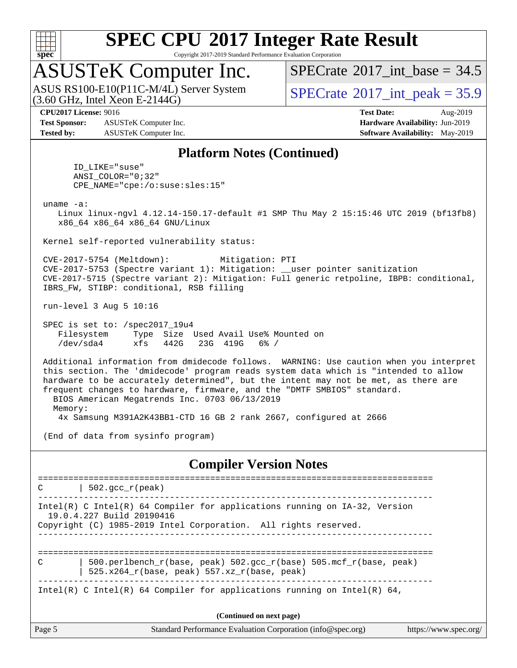

Copyright 2017-2019 Standard Performance Evaluation Corporation

### ASUSTeK Computer Inc.

 $(3.60$  GHz, Intel Xeon E-2144G) ASUS RS100-E10(P11C-M/4L) Server System [SPECrate](http://www.spec.org/auto/cpu2017/Docs/result-fields.html#SPECrate2017intpeak)®2017 int\_peak = 35.9

[SPECrate](http://www.spec.org/auto/cpu2017/Docs/result-fields.html#SPECrate2017intbase)®2017 int\_base =  $34.5$ 

**[Test Sponsor:](http://www.spec.org/auto/cpu2017/Docs/result-fields.html#TestSponsor)** ASUSTeK Computer Inc. **[Hardware Availability:](http://www.spec.org/auto/cpu2017/Docs/result-fields.html#HardwareAvailability)** Jun-2019 **[Tested by:](http://www.spec.org/auto/cpu2017/Docs/result-fields.html#Testedby)** ASUSTeK Computer Inc. **[Software Availability:](http://www.spec.org/auto/cpu2017/Docs/result-fields.html#SoftwareAvailability)** May-2019

**[CPU2017 License:](http://www.spec.org/auto/cpu2017/Docs/result-fields.html#CPU2017License)** 9016 **[Test Date:](http://www.spec.org/auto/cpu2017/Docs/result-fields.html#TestDate)** Aug-2019

#### **[Platform Notes \(Continued\)](http://www.spec.org/auto/cpu2017/Docs/result-fields.html#PlatformNotes)**

 ID\_LIKE="suse" ANSI\_COLOR="0;32" CPE\_NAME="cpe:/o:suse:sles:15"

uname -a:

 Linux linux-ngvl 4.12.14-150.17-default #1 SMP Thu May 2 15:15:46 UTC 2019 (bf13fb8) x86\_64 x86\_64 x86\_64 GNU/Linux

Kernel self-reported vulnerability status:

 CVE-2017-5754 (Meltdown): Mitigation: PTI CVE-2017-5753 (Spectre variant 1): Mitigation: \_\_user pointer sanitization CVE-2017-5715 (Spectre variant 2): Mitigation: Full generic retpoline, IBPB: conditional, IBRS\_FW, STIBP: conditional, RSB filling

run-level 3 Aug 5 10:16

 SPEC is set to: /spec2017\_19u4 Filesystem Type Size Used Avail Use% Mounted on /dev/sda4 xfs 442G 23G 419G 6% /

 Additional information from dmidecode follows. WARNING: Use caution when you interpret this section. The 'dmidecode' program reads system data which is "intended to allow hardware to be accurately determined", but the intent may not be met, as there are frequent changes to hardware, firmware, and the "DMTF SMBIOS" standard. BIOS American Megatrends Inc. 0703 06/13/2019 Memory:

4x Samsung M391A2K43BB1-CTD 16 GB 2 rank 2667, configured at 2666

(End of data from sysinfo program)

#### **[Compiler Version Notes](http://www.spec.org/auto/cpu2017/Docs/result-fields.html#CompilerVersionNotes)**

Page 5 Standard Performance Evaluation Corporation [\(info@spec.org\)](mailto:info@spec.org) <https://www.spec.org/> ==============================================================================  $C$  | 502.gcc\_r(peak) ------------------------------------------------------------------------------ Intel(R) C Intel(R) 64 Compiler for applications running on IA-32, Version 19.0.4.227 Build 20190416 Copyright (C) 1985-2019 Intel Corporation. All rights reserved. ------------------------------------------------------------------------------ ============================================================================== C | 500.perlbench\_r(base, peak) 502.gcc\_r(base) 505.mcf\_r(base, peak) | 525.x264 $r(base, peak)$  557.xz $r(base, peak)$ ------------------------------------------------------------------------------ Intel(R) C Intel(R) 64 Compiler for applications running on Intel(R)  $64$ , **(Continued on next page)**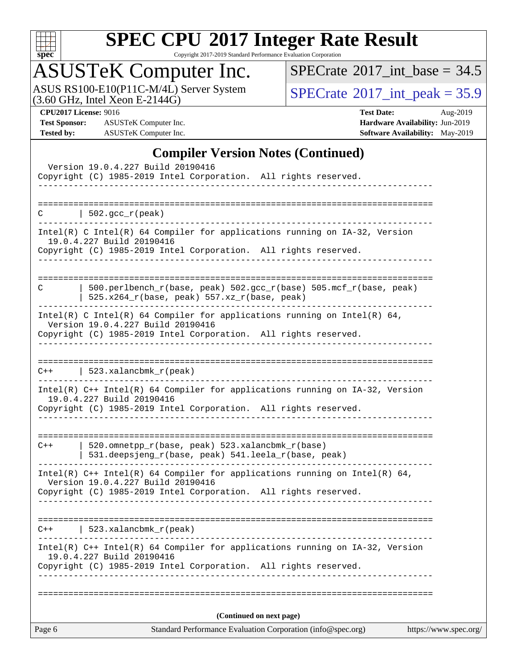

Copyright 2017-2019 Standard Performance Evaluation Corporation

## ASUSTeK Computer Inc.

ASUS RS100-E10(P11C-M/4L) Server System  $(3.60 \text{ GHz}, \text{ Intel Xeon E-2144G})$   $\text{SPECrate} \textdegree 2017\_int\_peak = 35.9$  $\text{SPECrate} \textdegree 2017\_int\_peak = 35.9$  $\text{SPECrate} \textdegree 2017\_int\_peak = 35.9$ 

 $SPECTate$ <sup>®</sup>[2017\\_int\\_base =](http://www.spec.org/auto/cpu2017/Docs/result-fields.html#SPECrate2017intbase) 34.5

**[Test Sponsor:](http://www.spec.org/auto/cpu2017/Docs/result-fields.html#TestSponsor)** ASUSTeK Computer Inc. **[Hardware Availability:](http://www.spec.org/auto/cpu2017/Docs/result-fields.html#HardwareAvailability)** Jun-2019 **[Tested by:](http://www.spec.org/auto/cpu2017/Docs/result-fields.html#Testedby)** ASUSTeK Computer Inc. **[Software Availability:](http://www.spec.org/auto/cpu2017/Docs/result-fields.html#SoftwareAvailability)** May-2019

**[CPU2017 License:](http://www.spec.org/auto/cpu2017/Docs/result-fields.html#CPU2017License)** 9016 **[Test Date:](http://www.spec.org/auto/cpu2017/Docs/result-fields.html#TestDate)** Aug-2019

### **[Compiler Version Notes \(Continued\)](http://www.spec.org/auto/cpu2017/Docs/result-fields.html#CompilerVersionNotes)**

| Page 6 | Standard Performance Evaluation Corporation (info@spec.org)                                                                                                                          | https://www.spec.org/ |
|--------|--------------------------------------------------------------------------------------------------------------------------------------------------------------------------------------|-----------------------|
|        | (Continued on next page)                                                                                                                                                             |                       |
|        |                                                                                                                                                                                      |                       |
|        | $Intel(R)$ C++ Intel(R) 64 Compiler for applications running on IA-32, Version<br>19.0.4.227 Build 20190416<br>Copyright (C) 1985-2019 Intel Corporation. All rights reserved.       |                       |
| $C++$  | $523.xalanchm k_r (peak)$                                                                                                                                                            |                       |
|        | Intel(R) $C++$ Intel(R) 64 Compiler for applications running on Intel(R) 64,<br>Version 19.0.4.227 Build 20190416<br>Copyright (C) 1985-2019 Intel Corporation. All rights reserved. |                       |
| C++    | ====================================<br>520.omnetpp_r(base, peak) 523.xalancbmk_r(base)<br>531.deepsjeng_r(base, peak) 541.leela_r(base, peak)                                       |                       |
|        | Intel(R) C++ Intel(R) 64 Compiler for applications running on IA-32, Version<br>19.0.4.227 Build 20190416<br>Copyright (C) 1985-2019 Intel Corporation. All rights reserved.         |                       |
| $C++$  | $523.xalanchm k_r (peak)$                                                                                                                                                            |                       |
|        | Intel(R) C Intel(R) 64 Compiler for applications running on Intel(R) 64,<br>Version 19.0.4.227 Build 20190416<br>Copyright (C) 1985-2019 Intel Corporation. All rights reserved.     |                       |
| C      | 500.perlbench_r(base, peak) 502.gcc_r(base) 505.mcf_r(base, peak)<br>525.x264_r(base, peak) 557.xz_r(base, peak)                                                                     |                       |
|        | Intel(R) C Intel(R) 64 Compiler for applications running on IA-32, Version<br>19.0.4.227 Build 20190416<br>Copyright (C) 1985-2019 Intel Corporation. All rights reserved.           |                       |
| C      | $ 502.\text{gcc_r(peak)} $                                                                                                                                                           |                       |
|        |                                                                                                                                                                                      |                       |
|        | Version 19.0.4.227 Build 20190416<br>Copyright (C) 1985-2019 Intel Corporation. All rights reserved.                                                                                 |                       |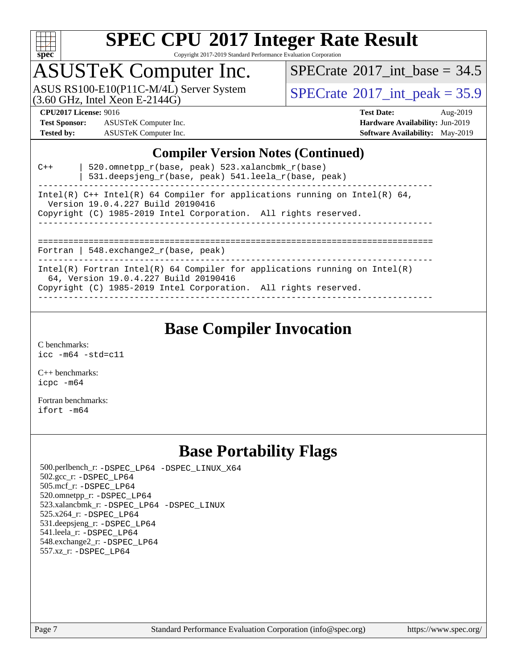

Copyright 2017-2019 Standard Performance Evaluation Corporation

### ASUSTeK Computer Inc.

ASUS RS100-E10(P11C-M/4L) Server System  $(3.60 \text{ GHz}, \text{ Intel Xeon E-2144G})$   $\text{SPECrate} \textdegree 2017\_int\_peak = 35.9$  $\text{SPECrate} \textdegree 2017\_int\_peak = 35.9$  $\text{SPECrate} \textdegree 2017\_int\_peak = 35.9$ 

[SPECrate](http://www.spec.org/auto/cpu2017/Docs/result-fields.html#SPECrate2017intbase)<sup>®</sup>2017 int\_base =  $34.5$ 

**[Test Sponsor:](http://www.spec.org/auto/cpu2017/Docs/result-fields.html#TestSponsor)** ASUSTeK Computer Inc. **[Hardware Availability:](http://www.spec.org/auto/cpu2017/Docs/result-fields.html#HardwareAvailability)** Jun-2019 **[Tested by:](http://www.spec.org/auto/cpu2017/Docs/result-fields.html#Testedby)** ASUSTeK Computer Inc. **[Software Availability:](http://www.spec.org/auto/cpu2017/Docs/result-fields.html#SoftwareAvailability)** May-2019

**[CPU2017 License:](http://www.spec.org/auto/cpu2017/Docs/result-fields.html#CPU2017License)** 9016 **[Test Date:](http://www.spec.org/auto/cpu2017/Docs/result-fields.html#TestDate)** Aug-2019

#### **[Compiler Version Notes \(Continued\)](http://www.spec.org/auto/cpu2017/Docs/result-fields.html#CompilerVersionNotes)**

| $C++$ | 520.omnetpp $r(base, peak)$ 523.xalancbmk $r(base)$<br>531.deepsjeng_r(base, peak) 541.leela_r(base, peak)                                                                             |
|-------|----------------------------------------------------------------------------------------------------------------------------------------------------------------------------------------|
|       | Intel(R) C++ Intel(R) 64 Compiler for applications running on Intel(R) 64,<br>Version 19.0.4.227 Build 20190416                                                                        |
|       | Copyright (C) 1985-2019 Intel Corporation. All rights reserved.                                                                                                                        |
|       | Fortran   548. $exchange2 r(base, peak)$                                                                                                                                               |
|       | Intel(R) Fortran Intel(R) 64 Compiler for applications running on Intel(R)<br>64, Version 19.0.4.227 Build 20190416<br>Copyright (C) 1985-2019 Intel Corporation. All rights reserved. |

------------------------------------------------------------------------------

### **[Base Compiler Invocation](http://www.spec.org/auto/cpu2017/Docs/result-fields.html#BaseCompilerInvocation)**

[C benchmarks](http://www.spec.org/auto/cpu2017/Docs/result-fields.html#Cbenchmarks): [icc -m64 -std=c11](http://www.spec.org/cpu2017/results/res2019q3/cpu2017-20190826-17251.flags.html#user_CCbase_intel_icc_64bit_c11_33ee0cdaae7deeeab2a9725423ba97205ce30f63b9926c2519791662299b76a0318f32ddfffdc46587804de3178b4f9328c46fa7c2b0cd779d7a61945c91cd35)

[C++ benchmarks:](http://www.spec.org/auto/cpu2017/Docs/result-fields.html#CXXbenchmarks) [icpc -m64](http://www.spec.org/cpu2017/results/res2019q3/cpu2017-20190826-17251.flags.html#user_CXXbase_intel_icpc_64bit_4ecb2543ae3f1412ef961e0650ca070fec7b7afdcd6ed48761b84423119d1bf6bdf5cad15b44d48e7256388bc77273b966e5eb805aefd121eb22e9299b2ec9d9)

[Fortran benchmarks](http://www.spec.org/auto/cpu2017/Docs/result-fields.html#Fortranbenchmarks): [ifort -m64](http://www.spec.org/cpu2017/results/res2019q3/cpu2017-20190826-17251.flags.html#user_FCbase_intel_ifort_64bit_24f2bb282fbaeffd6157abe4f878425411749daecae9a33200eee2bee2fe76f3b89351d69a8130dd5949958ce389cf37ff59a95e7a40d588e8d3a57e0c3fd751)

### **[Base Portability Flags](http://www.spec.org/auto/cpu2017/Docs/result-fields.html#BasePortabilityFlags)**

 500.perlbench\_r: [-DSPEC\\_LP64](http://www.spec.org/cpu2017/results/res2019q3/cpu2017-20190826-17251.flags.html#b500.perlbench_r_basePORTABILITY_DSPEC_LP64) [-DSPEC\\_LINUX\\_X64](http://www.spec.org/cpu2017/results/res2019q3/cpu2017-20190826-17251.flags.html#b500.perlbench_r_baseCPORTABILITY_DSPEC_LINUX_X64) 502.gcc\_r: [-DSPEC\\_LP64](http://www.spec.org/cpu2017/results/res2019q3/cpu2017-20190826-17251.flags.html#suite_basePORTABILITY502_gcc_r_DSPEC_LP64) 505.mcf\_r: [-DSPEC\\_LP64](http://www.spec.org/cpu2017/results/res2019q3/cpu2017-20190826-17251.flags.html#suite_basePORTABILITY505_mcf_r_DSPEC_LP64) 520.omnetpp\_r: [-DSPEC\\_LP64](http://www.spec.org/cpu2017/results/res2019q3/cpu2017-20190826-17251.flags.html#suite_basePORTABILITY520_omnetpp_r_DSPEC_LP64) 523.xalancbmk\_r: [-DSPEC\\_LP64](http://www.spec.org/cpu2017/results/res2019q3/cpu2017-20190826-17251.flags.html#suite_basePORTABILITY523_xalancbmk_r_DSPEC_LP64) [-DSPEC\\_LINUX](http://www.spec.org/cpu2017/results/res2019q3/cpu2017-20190826-17251.flags.html#b523.xalancbmk_r_baseCXXPORTABILITY_DSPEC_LINUX) 525.x264\_r: [-DSPEC\\_LP64](http://www.spec.org/cpu2017/results/res2019q3/cpu2017-20190826-17251.flags.html#suite_basePORTABILITY525_x264_r_DSPEC_LP64) 531.deepsjeng\_r: [-DSPEC\\_LP64](http://www.spec.org/cpu2017/results/res2019q3/cpu2017-20190826-17251.flags.html#suite_basePORTABILITY531_deepsjeng_r_DSPEC_LP64) 541.leela\_r: [-DSPEC\\_LP64](http://www.spec.org/cpu2017/results/res2019q3/cpu2017-20190826-17251.flags.html#suite_basePORTABILITY541_leela_r_DSPEC_LP64) 548.exchange2\_r: [-DSPEC\\_LP64](http://www.spec.org/cpu2017/results/res2019q3/cpu2017-20190826-17251.flags.html#suite_basePORTABILITY548_exchange2_r_DSPEC_LP64) 557.xz\_r: [-DSPEC\\_LP64](http://www.spec.org/cpu2017/results/res2019q3/cpu2017-20190826-17251.flags.html#suite_basePORTABILITY557_xz_r_DSPEC_LP64)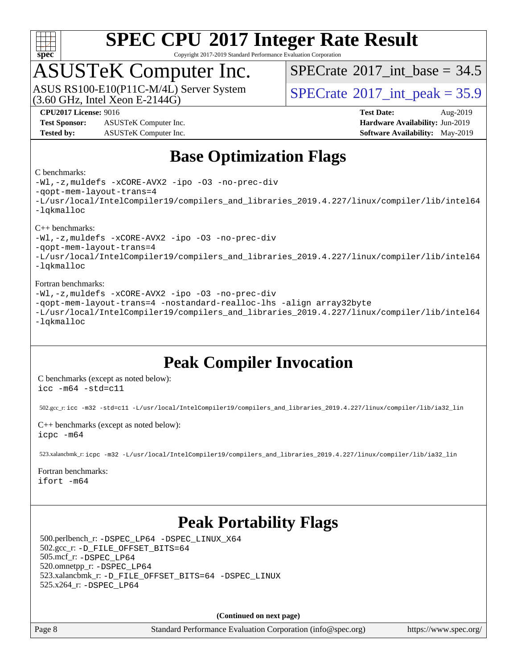

Copyright 2017-2019 Standard Performance Evaluation Corporation

### ASUSTeK Computer Inc.

 $(3.60$  GHz, Intel Xeon E-2144G) ASUS RS100-E10(P11C-M/4L) Server System [SPECrate](http://www.spec.org/auto/cpu2017/Docs/result-fields.html#SPECrate2017intpeak)®2017 int\_peak = 35.9

[SPECrate](http://www.spec.org/auto/cpu2017/Docs/result-fields.html#SPECrate2017intbase)<sup>®</sup>2017 int\_base =  $34.5$ 

**[Test Sponsor:](http://www.spec.org/auto/cpu2017/Docs/result-fields.html#TestSponsor)** ASUSTeK Computer Inc. **[Hardware Availability:](http://www.spec.org/auto/cpu2017/Docs/result-fields.html#HardwareAvailability)** Jun-2019 **[Tested by:](http://www.spec.org/auto/cpu2017/Docs/result-fields.html#Testedby)** ASUSTeK Computer Inc. **[Software Availability:](http://www.spec.org/auto/cpu2017/Docs/result-fields.html#SoftwareAvailability)** May-2019

**[CPU2017 License:](http://www.spec.org/auto/cpu2017/Docs/result-fields.html#CPU2017License)** 9016 **[Test Date:](http://www.spec.org/auto/cpu2017/Docs/result-fields.html#TestDate)** Aug-2019

### **[Base Optimization Flags](http://www.spec.org/auto/cpu2017/Docs/result-fields.html#BaseOptimizationFlags)**

#### [C benchmarks](http://www.spec.org/auto/cpu2017/Docs/result-fields.html#Cbenchmarks):

[-Wl,-z,muldefs](http://www.spec.org/cpu2017/results/res2019q3/cpu2017-20190826-17251.flags.html#user_CCbase_link_force_multiple1_b4cbdb97b34bdee9ceefcfe54f4c8ea74255f0b02a4b23e853cdb0e18eb4525ac79b5a88067c842dd0ee6996c24547a27a4b99331201badda8798ef8a743f577) [-xCORE-AVX2](http://www.spec.org/cpu2017/results/res2019q3/cpu2017-20190826-17251.flags.html#user_CCbase_f-xCORE-AVX2) [-ipo](http://www.spec.org/cpu2017/results/res2019q3/cpu2017-20190826-17251.flags.html#user_CCbase_f-ipo) [-O3](http://www.spec.org/cpu2017/results/res2019q3/cpu2017-20190826-17251.flags.html#user_CCbase_f-O3) [-no-prec-div](http://www.spec.org/cpu2017/results/res2019q3/cpu2017-20190826-17251.flags.html#user_CCbase_f-no-prec-div) [-qopt-mem-layout-trans=4](http://www.spec.org/cpu2017/results/res2019q3/cpu2017-20190826-17251.flags.html#user_CCbase_f-qopt-mem-layout-trans_fa39e755916c150a61361b7846f310bcdf6f04e385ef281cadf3647acec3f0ae266d1a1d22d972a7087a248fd4e6ca390a3634700869573d231a252c784941a8) [-L/usr/local/IntelCompiler19/compilers\\_and\\_libraries\\_2019.4.227/linux/compiler/lib/intel64](http://www.spec.org/cpu2017/results/res2019q3/cpu2017-20190826-17251.flags.html#user_CCbase_qkmalloc_link_0ffe0cb02c68ef1b443a077c7888c10c67ca0d1dd7138472156f06a085bbad385f78d49618ad55dca9db3b1608e84afc2f69b4003b1d1ca498a9fc1462ccefda) [-lqkmalloc](http://www.spec.org/cpu2017/results/res2019q3/cpu2017-20190826-17251.flags.html#user_CCbase_qkmalloc_link_lib_79a818439969f771c6bc311cfd333c00fc099dad35c030f5aab9dda831713d2015205805422f83de8875488a2991c0a156aaa600e1f9138f8fc37004abc96dc5)

#### [C++ benchmarks:](http://www.spec.org/auto/cpu2017/Docs/result-fields.html#CXXbenchmarks)

[-Wl,-z,muldefs](http://www.spec.org/cpu2017/results/res2019q3/cpu2017-20190826-17251.flags.html#user_CXXbase_link_force_multiple1_b4cbdb97b34bdee9ceefcfe54f4c8ea74255f0b02a4b23e853cdb0e18eb4525ac79b5a88067c842dd0ee6996c24547a27a4b99331201badda8798ef8a743f577) [-xCORE-AVX2](http://www.spec.org/cpu2017/results/res2019q3/cpu2017-20190826-17251.flags.html#user_CXXbase_f-xCORE-AVX2) [-ipo](http://www.spec.org/cpu2017/results/res2019q3/cpu2017-20190826-17251.flags.html#user_CXXbase_f-ipo) [-O3](http://www.spec.org/cpu2017/results/res2019q3/cpu2017-20190826-17251.flags.html#user_CXXbase_f-O3) [-no-prec-div](http://www.spec.org/cpu2017/results/res2019q3/cpu2017-20190826-17251.flags.html#user_CXXbase_f-no-prec-div)

[-qopt-mem-layout-trans=4](http://www.spec.org/cpu2017/results/res2019q3/cpu2017-20190826-17251.flags.html#user_CXXbase_f-qopt-mem-layout-trans_fa39e755916c150a61361b7846f310bcdf6f04e385ef281cadf3647acec3f0ae266d1a1d22d972a7087a248fd4e6ca390a3634700869573d231a252c784941a8)

[-L/usr/local/IntelCompiler19/compilers\\_and\\_libraries\\_2019.4.227/linux/compiler/lib/intel64](http://www.spec.org/cpu2017/results/res2019q3/cpu2017-20190826-17251.flags.html#user_CXXbase_qkmalloc_link_0ffe0cb02c68ef1b443a077c7888c10c67ca0d1dd7138472156f06a085bbad385f78d49618ad55dca9db3b1608e84afc2f69b4003b1d1ca498a9fc1462ccefda) [-lqkmalloc](http://www.spec.org/cpu2017/results/res2019q3/cpu2017-20190826-17251.flags.html#user_CXXbase_qkmalloc_link_lib_79a818439969f771c6bc311cfd333c00fc099dad35c030f5aab9dda831713d2015205805422f83de8875488a2991c0a156aaa600e1f9138f8fc37004abc96dc5)

#### [Fortran benchmarks](http://www.spec.org/auto/cpu2017/Docs/result-fields.html#Fortranbenchmarks):

[-Wl,-z,muldefs](http://www.spec.org/cpu2017/results/res2019q3/cpu2017-20190826-17251.flags.html#user_FCbase_link_force_multiple1_b4cbdb97b34bdee9ceefcfe54f4c8ea74255f0b02a4b23e853cdb0e18eb4525ac79b5a88067c842dd0ee6996c24547a27a4b99331201badda8798ef8a743f577) [-xCORE-AVX2](http://www.spec.org/cpu2017/results/res2019q3/cpu2017-20190826-17251.flags.html#user_FCbase_f-xCORE-AVX2) [-ipo](http://www.spec.org/cpu2017/results/res2019q3/cpu2017-20190826-17251.flags.html#user_FCbase_f-ipo) [-O3](http://www.spec.org/cpu2017/results/res2019q3/cpu2017-20190826-17251.flags.html#user_FCbase_f-O3) [-no-prec-div](http://www.spec.org/cpu2017/results/res2019q3/cpu2017-20190826-17251.flags.html#user_FCbase_f-no-prec-div) [-qopt-mem-layout-trans=4](http://www.spec.org/cpu2017/results/res2019q3/cpu2017-20190826-17251.flags.html#user_FCbase_f-qopt-mem-layout-trans_fa39e755916c150a61361b7846f310bcdf6f04e385ef281cadf3647acec3f0ae266d1a1d22d972a7087a248fd4e6ca390a3634700869573d231a252c784941a8) [-nostandard-realloc-lhs](http://www.spec.org/cpu2017/results/res2019q3/cpu2017-20190826-17251.flags.html#user_FCbase_f_2003_std_realloc_82b4557e90729c0f113870c07e44d33d6f5a304b4f63d4c15d2d0f1fab99f5daaed73bdb9275d9ae411527f28b936061aa8b9c8f2d63842963b95c9dd6426b8a) [-align array32byte](http://www.spec.org/cpu2017/results/res2019q3/cpu2017-20190826-17251.flags.html#user_FCbase_align_array32byte_b982fe038af199962ba9a80c053b8342c548c85b40b8e86eb3cc33dee0d7986a4af373ac2d51c3f7cf710a18d62fdce2948f201cd044323541f22fc0fffc51b6) [-L/usr/local/IntelCompiler19/compilers\\_and\\_libraries\\_2019.4.227/linux/compiler/lib/intel64](http://www.spec.org/cpu2017/results/res2019q3/cpu2017-20190826-17251.flags.html#user_FCbase_qkmalloc_link_0ffe0cb02c68ef1b443a077c7888c10c67ca0d1dd7138472156f06a085bbad385f78d49618ad55dca9db3b1608e84afc2f69b4003b1d1ca498a9fc1462ccefda) [-lqkmalloc](http://www.spec.org/cpu2017/results/res2019q3/cpu2017-20190826-17251.flags.html#user_FCbase_qkmalloc_link_lib_79a818439969f771c6bc311cfd333c00fc099dad35c030f5aab9dda831713d2015205805422f83de8875488a2991c0a156aaa600e1f9138f8fc37004abc96dc5)

### **[Peak Compiler Invocation](http://www.spec.org/auto/cpu2017/Docs/result-fields.html#PeakCompilerInvocation)**

[C benchmarks \(except as noted below\)](http://www.spec.org/auto/cpu2017/Docs/result-fields.html#Cbenchmarksexceptasnotedbelow): [icc -m64 -std=c11](http://www.spec.org/cpu2017/results/res2019q3/cpu2017-20190826-17251.flags.html#user_CCpeak_intel_icc_64bit_c11_33ee0cdaae7deeeab2a9725423ba97205ce30f63b9926c2519791662299b76a0318f32ddfffdc46587804de3178b4f9328c46fa7c2b0cd779d7a61945c91cd35)

502.gcc\_r: [icc -m32 -std=c11 -L/usr/local/IntelCompiler19/compilers\\_and\\_libraries\\_2019.4.227/linux/compiler/lib/ia32\\_lin](http://www.spec.org/cpu2017/results/res2019q3/cpu2017-20190826-17251.flags.html#user_peakCCLD502_gcc_r_intel_icc_38a193a897536fa645efb1dc6ac2bea2bddbbe56f130e144a606d1b2649003f27c79f8814020c1f9355cbbf0d7ab0d194a7a979ee1e2a95641bbb8cf571aac7b)

[C++ benchmarks \(except as noted below\)](http://www.spec.org/auto/cpu2017/Docs/result-fields.html#CXXbenchmarksexceptasnotedbelow): [icpc -m64](http://www.spec.org/cpu2017/results/res2019q3/cpu2017-20190826-17251.flags.html#user_CXXpeak_intel_icpc_64bit_4ecb2543ae3f1412ef961e0650ca070fec7b7afdcd6ed48761b84423119d1bf6bdf5cad15b44d48e7256388bc77273b966e5eb805aefd121eb22e9299b2ec9d9)

523.xalancbmk\_r: [icpc -m32 -L/usr/local/IntelCompiler19/compilers\\_and\\_libraries\\_2019.4.227/linux/compiler/lib/ia32\\_lin](http://www.spec.org/cpu2017/results/res2019q3/cpu2017-20190826-17251.flags.html#user_peakCXXLD523_xalancbmk_r_intel_icpc_840f965b38320ad10acba6032d6ca4c816e722c432c250f3408feae347068ba449f694544a48cf12cd3bde3495e328e6747ab0f629c2925d3062e2ee144af951)

#### [Fortran benchmarks](http://www.spec.org/auto/cpu2017/Docs/result-fields.html#Fortranbenchmarks):

[ifort -m64](http://www.spec.org/cpu2017/results/res2019q3/cpu2017-20190826-17251.flags.html#user_FCpeak_intel_ifort_64bit_24f2bb282fbaeffd6157abe4f878425411749daecae9a33200eee2bee2fe76f3b89351d69a8130dd5949958ce389cf37ff59a95e7a40d588e8d3a57e0c3fd751)

### **[Peak Portability Flags](http://www.spec.org/auto/cpu2017/Docs/result-fields.html#PeakPortabilityFlags)**

 500.perlbench\_r: [-DSPEC\\_LP64](http://www.spec.org/cpu2017/results/res2019q3/cpu2017-20190826-17251.flags.html#b500.perlbench_r_peakPORTABILITY_DSPEC_LP64) [-DSPEC\\_LINUX\\_X64](http://www.spec.org/cpu2017/results/res2019q3/cpu2017-20190826-17251.flags.html#b500.perlbench_r_peakCPORTABILITY_DSPEC_LINUX_X64) 502.gcc\_r: [-D\\_FILE\\_OFFSET\\_BITS=64](http://www.spec.org/cpu2017/results/res2019q3/cpu2017-20190826-17251.flags.html#user_peakPORTABILITY502_gcc_r_file_offset_bits_64_5ae949a99b284ddf4e95728d47cb0843d81b2eb0e18bdfe74bbf0f61d0b064f4bda2f10ea5eb90e1dcab0e84dbc592acfc5018bc955c18609f94ddb8d550002c) 505.mcf\_r: [-DSPEC\\_LP64](http://www.spec.org/cpu2017/results/res2019q3/cpu2017-20190826-17251.flags.html#suite_peakPORTABILITY505_mcf_r_DSPEC_LP64) 520.omnetpp\_r: [-DSPEC\\_LP64](http://www.spec.org/cpu2017/results/res2019q3/cpu2017-20190826-17251.flags.html#suite_peakPORTABILITY520_omnetpp_r_DSPEC_LP64) 523.xalancbmk\_r: [-D\\_FILE\\_OFFSET\\_BITS=64](http://www.spec.org/cpu2017/results/res2019q3/cpu2017-20190826-17251.flags.html#user_peakPORTABILITY523_xalancbmk_r_file_offset_bits_64_5ae949a99b284ddf4e95728d47cb0843d81b2eb0e18bdfe74bbf0f61d0b064f4bda2f10ea5eb90e1dcab0e84dbc592acfc5018bc955c18609f94ddb8d550002c) [-DSPEC\\_LINUX](http://www.spec.org/cpu2017/results/res2019q3/cpu2017-20190826-17251.flags.html#b523.xalancbmk_r_peakCXXPORTABILITY_DSPEC_LINUX) 525.x264\_r: [-DSPEC\\_LP64](http://www.spec.org/cpu2017/results/res2019q3/cpu2017-20190826-17251.flags.html#suite_peakPORTABILITY525_x264_r_DSPEC_LP64)

**(Continued on next page)**

Page 8 Standard Performance Evaluation Corporation [\(info@spec.org\)](mailto:info@spec.org) <https://www.spec.org/>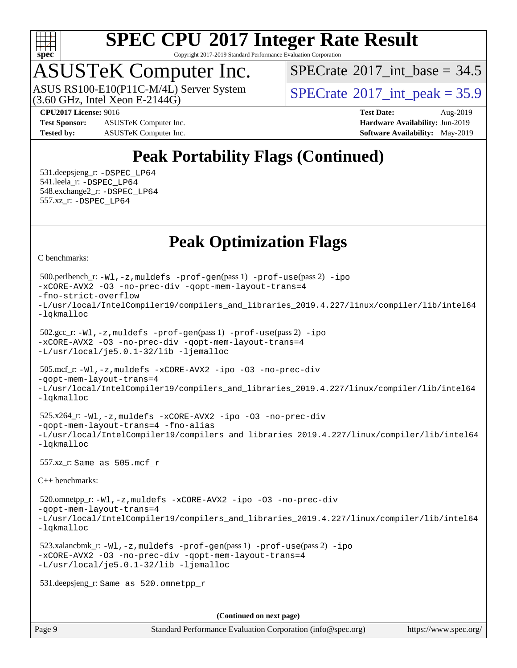

Copyright 2017-2019 Standard Performance Evaluation Corporation

## ASUSTeK Computer Inc.

ASUS RS100-E10(P11C-M/4L) Server System<br>(3.60 GHz, Intel Xeon E-2144G)

[SPECrate](http://www.spec.org/auto/cpu2017/Docs/result-fields.html#SPECrate2017intbase)®2017 int\_base =  $34.5$ 

 $SPECTate^{\circ}2017$  int peak = 35.9

**[Test Sponsor:](http://www.spec.org/auto/cpu2017/Docs/result-fields.html#TestSponsor)** ASUSTeK Computer Inc. **[Hardware Availability:](http://www.spec.org/auto/cpu2017/Docs/result-fields.html#HardwareAvailability)** Jun-2019 **[Tested by:](http://www.spec.org/auto/cpu2017/Docs/result-fields.html#Testedby)** ASUSTeK Computer Inc. **[Software Availability:](http://www.spec.org/auto/cpu2017/Docs/result-fields.html#SoftwareAvailability)** May-2019

**[CPU2017 License:](http://www.spec.org/auto/cpu2017/Docs/result-fields.html#CPU2017License)** 9016 **[Test Date:](http://www.spec.org/auto/cpu2017/Docs/result-fields.html#TestDate)** Aug-2019

### **[Peak Portability Flags \(Continued\)](http://www.spec.org/auto/cpu2017/Docs/result-fields.html#PeakPortabilityFlags)**

 531.deepsjeng\_r: [-DSPEC\\_LP64](http://www.spec.org/cpu2017/results/res2019q3/cpu2017-20190826-17251.flags.html#suite_peakPORTABILITY531_deepsjeng_r_DSPEC_LP64) 541.leela\_r: [-DSPEC\\_LP64](http://www.spec.org/cpu2017/results/res2019q3/cpu2017-20190826-17251.flags.html#suite_peakPORTABILITY541_leela_r_DSPEC_LP64) 548.exchange2\_r: [-DSPEC\\_LP64](http://www.spec.org/cpu2017/results/res2019q3/cpu2017-20190826-17251.flags.html#suite_peakPORTABILITY548_exchange2_r_DSPEC_LP64) 557.xz\_r: [-DSPEC\\_LP64](http://www.spec.org/cpu2017/results/res2019q3/cpu2017-20190826-17251.flags.html#suite_peakPORTABILITY557_xz_r_DSPEC_LP64)

### **[Peak Optimization Flags](http://www.spec.org/auto/cpu2017/Docs/result-fields.html#PeakOptimizationFlags)**

[C benchmarks](http://www.spec.org/auto/cpu2017/Docs/result-fields.html#Cbenchmarks):

```
(info@spec.org)https://www.spec.org/
  500.perlbench_r: -Wl,-z,muldefs -prof-gen(pass 1) -prof-use(pass 2) -ipo
-xCORE-AVX2 -O3 -no-prec-div -qopt-mem-layout-trans=4
-fno-strict-overflow
-L/usr/local/IntelCompiler19/compilers_and_libraries_2019.4.227/linux/compiler/lib/intel64
-lqkmalloc
  502.gcc_r: -Wl,-z,muldefs -prof-gen(pass 1) -prof-use(pass 2) -ipo
-xCORE-AVX2 -O3 -no-prec-div -qopt-mem-layout-trans=4
-L/usr/local/je5.0.1-32/lib -ljemalloc
  505.mcf_r: -Wl,-z,muldefs -xCORE-AVX2 -ipo -O3 -no-prec-div
-qopt-mem-layout-trans=4
-L/usr/local/IntelCompiler19/compilers_and_libraries_2019.4.227/linux/compiler/lib/intel64
-lqkmalloc
  525.x264_r: -Wl,-z,muldefs -xCORE-AVX2 -ipo -O3 -no-prec-div
-qopt-mem-layout-trans=4 -fno-alias
-L/usr/local/IntelCompiler19/compilers_and_libraries_2019.4.227/linux/compiler/lib/intel64
-lqkmalloc
  557.xz_r: Same as 505.mcf_r
C++ benchmarks: 
  520.omnetpp_r: -Wl,-z,muldefs -xCORE-AVX2 -ipo -O3 -no-prec-div
-qopt-mem-layout-trans=4
-L/usr/local/IntelCompiler19/compilers_and_libraries_2019.4.227/linux/compiler/lib/intel64
-lqkmalloc
  523.xalancbmk_r: -Wl,-z,muldefs -prof-gen(pass 1) -prof-use(pass 2) -ipo
-xCORE-AVX2 -O3 -no-prec-div -qopt-mem-layout-trans=4
-L/usr/local/je5.0.1-32/lib -ljemalloc
  531.deepsjeng_r: Same as 520.omnetpp_r
                                     (Continued on next page)
```